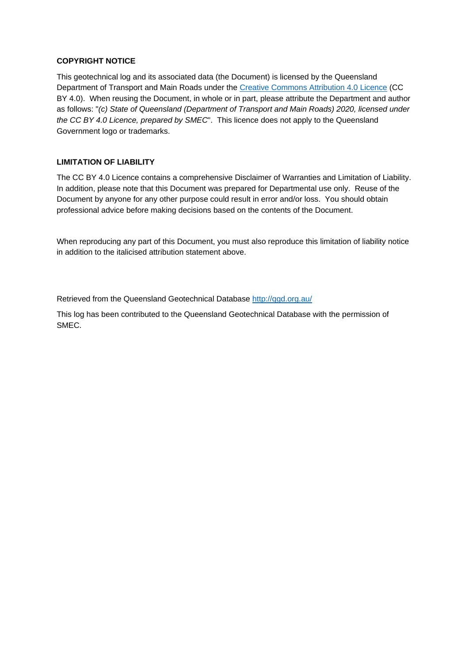#### **COPYRIGHT NOTICE**

This geotechnical log and its associated data (the Document) is licensed by the Queensland Department of Transport and Main Roads under the Creative Commons Attribution 4.0 Licence (CC BY 4.0). When reusing the Document, in whole or in part, please attribute the Department and author as follows: "*(c) State of Queensland (Department of Transport and Main Roads) 2020, licensed under the CC BY 4.0 Licence, prepared by SMEC*". This licence does not apply to the Queensland Government logo or trademarks.

#### **LIMITATION OF LIABILITY**

The CC BY 4.0 Licence contains a comprehensive Disclaimer of Warranties and Limitation of Liability. In addition, please note that this Document was prepared for Departmental use only. Reuse of the Document by anyone for any other purpose could result in error and/or loss. You should obtain professional advice before making decisions based on the contents of the Document.

When reproducing any part of this Document, you must also reproduce this limitation of liability notice in addition to the italicised attribution statement above.

Retrieved from the Queensland Geotechnical Database http://qgd.org.au/

This log has been contributed to the Queensland Geotechnical Database with the permission of SMEC.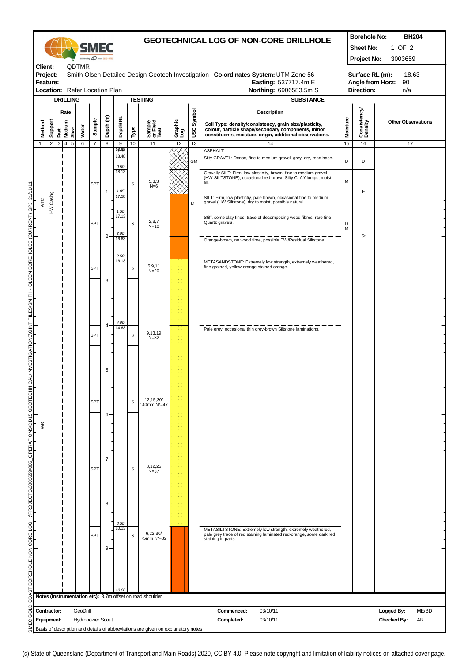|                                                                  |                           |                |                                   |              |                                     | Celebrating 40 years 2970- |           |                            | <b>GEOTECHNICAL LOG OF NON-CORE DRILLHOLE</b>                                                                                        |                                                                                  |                |               |                                                                                                                                                        |          | <b>Borehole No:</b><br>Sheet No:<br>Project No:                         | <b>BH204</b><br>1 OF 2<br>3003659               |  |
|------------------------------------------------------------------|---------------------------|----------------|-----------------------------------|--------------|-------------------------------------|----------------------------|-----------|----------------------------|--------------------------------------------------------------------------------------------------------------------------------------|----------------------------------------------------------------------------------|----------------|---------------|--------------------------------------------------------------------------------------------------------------------------------------------------------|----------|-------------------------------------------------------------------------|-------------------------------------------------|--|
| Client:<br>Project:<br>Feature:<br>Location: Refer Location Plan |                           |                |                                   |              | QDTMR                               |                            |           |                            | Smith Olsen Detailed Design Geotech Investigation Co-ordinates System: UTM Zone 56<br>Easting: 537717.4m E<br>Northing: 6906583.5m S |                                                                                  |                |               |                                                                                                                                                        |          | Surface RL (m):<br>18.63<br>Angle from Horz:<br>90<br>Direction:<br>n/a |                                                 |  |
|                                                                  | Method                    | Support        | <b>DRILLING</b><br>Medium<br>Fast | Rate<br>Slow | Water                               | Sample                     | Depth (m) | <b>Depth/RL</b>            | Type                                                                                                                                 | <b>TESTING</b><br>Sample<br>or Field<br>Test                                     | Graphic<br>Log | Symbol<br>usc | <b>SUBSTANCE</b><br><b>Description</b><br>Soil Type: density/consistency, grain size/plasticity,<br>colour, particle shape/secondary components, minor | Moisture | Consistency/<br>Density                                                 | <b>Other Observations</b>                       |  |
|                                                                  | $\mathbf{1}$              | $\overline{2}$ | 3 <sup>1</sup>                    | 4 5          | 6                                   | $\overline{7}$             | 8         | $9$                        | 10                                                                                                                                   | 11                                                                               | 12             | 13            | constituents, moisture, origin, additional observations.<br>14                                                                                         | 15       | 16                                                                      | 17                                              |  |
|                                                                  |                           |                |                                   |              |                                     |                            |           | 18.63<br>18.48<br>$0.50\,$ |                                                                                                                                      |                                                                                  | x              | <b>GM</b>     | <b>ASPHALT</b><br>Silty GRAVEL: Dense, fine to medium gravel, grey, dry, road base.                                                                    | D        | D                                                                       |                                                 |  |
|                                                                  |                           |                |                                   |              |                                     | SPT                        |           | 18.13                      | $\rm S$                                                                                                                              | 5,3,3<br>$N=6$                                                                   |                |               | Gravelly SILT: Firm, low plasticity, brown, fine to medium gravel<br>(HW SILTSTONE), occasional red-brown Silty CLAY lumps, moist,<br>fill.            | M        |                                                                         |                                                 |  |
|                                                                  | ATC                       | HW Casing      |                                   |              |                                     |                            | 1         | 1.05<br>17.58              |                                                                                                                                      |                                                                                  |                | <b>ML</b>     | SILT: Firm, low plastictiy, pale brown, occasional fine to medium gravel (HW Siltstone), dry to moist, possible natural.                               |          | F                                                                       |                                                 |  |
| RENT                                                             |                           |                |                                   |              |                                     | SPT                        |           | 1.50<br>17.13              | $\mathbf S$                                                                                                                          | 2,3,7<br>$N=10$                                                                  |                |               | Stiff, some clay fines, trace of decomposing wood fibres, rare fine<br>Quartz gravels.                                                                 | D<br>M   |                                                                         |                                                 |  |
| СUR<br>S                                                         |                           |                |                                   |              |                                     |                            | 2         | 2.00<br>16.63              |                                                                                                                                      |                                                                                  |                |               | Orange-brown, no wood fibre, possible EW/Residual Siltstone.                                                                                           |          | St                                                                      |                                                 |  |
| BOREHOL                                                          |                           |                |                                   |              |                                     | SPT                        |           | 2.50<br>16.13              | S                                                                                                                                    | 5,9,11<br>$N = 20$                                                               |                |               | METASANDSTONE: Extremely low strength, extremely weathered,<br>fine grained, yellow-orange stained orange.                                             |          |                                                                         |                                                 |  |
| SEN<br>ಠ                                                         |                           |                |                                   |              |                                     |                            | 3         |                            |                                                                                                                                      |                                                                                  |                |               |                                                                                                                                                        |          |                                                                         |                                                 |  |
| <b>HLLMS</b><br>ш                                                |                           |                |                                   |              |                                     |                            |           |                            |                                                                                                                                      |                                                                                  |                |               |                                                                                                                                                        |          |                                                                         |                                                 |  |
| $\vec{r}$                                                        |                           |                |                                   |              |                                     | <b>SPT</b>                 | 4         | 4.00<br>14.63              | $\mathbf S$                                                                                                                          | 9,13,19<br>$N = 32$                                                              |                |               | Pale grey, occasional thin grey-brown Siltstone laminations.                                                                                           |          |                                                                         |                                                 |  |
| TIGATIONSIGINT                                                   |                           |                |                                   |              |                                     |                            |           |                            |                                                                                                                                      |                                                                                  |                |               |                                                                                                                                                        |          |                                                                         |                                                 |  |
|                                                                  |                           |                |                                   |              |                                     |                            | 5         |                            |                                                                                                                                      |                                                                                  |                |               |                                                                                                                                                        |          |                                                                         |                                                 |  |
| OPERATIONS\DD15 GEOTECHNICA                                      |                           |                |                                   |              |                                     | <b>SPT</b>                 |           |                            | S                                                                                                                                    | 12,15,30/<br>140mm N*=47                                                         |                |               |                                                                                                                                                        |          |                                                                         |                                                 |  |
|                                                                  |                           |                |                                   |              |                                     |                            | $6 -$     |                            |                                                                                                                                      |                                                                                  |                |               |                                                                                                                                                        |          |                                                                         |                                                 |  |
|                                                                  | WR                        |                |                                   |              |                                     |                            |           |                            |                                                                                                                                      |                                                                                  |                |               |                                                                                                                                                        |          |                                                                         |                                                 |  |
|                                                                  |                           |                |                                   |              |                                     | SPT                        | $7 -$     |                            | $\mathbf S$                                                                                                                          | 8,12,25                                                                          |                |               |                                                                                                                                                        |          |                                                                         |                                                 |  |
| 3003659\005                                                      |                           |                |                                   |              |                                     |                            |           |                            |                                                                                                                                      | $N = 37$                                                                         |                |               |                                                                                                                                                        |          |                                                                         |                                                 |  |
|                                                                  |                           |                |                                   |              |                                     |                            | 8         |                            |                                                                                                                                      |                                                                                  |                |               |                                                                                                                                                        |          |                                                                         |                                                 |  |
|                                                                  |                           |                |                                   |              |                                     |                            |           | 8.50<br>10.13              |                                                                                                                                      | 6,22,30/                                                                         |                |               | METASILTSTONE: Extremely low strength, extremely weathered,                                                                                            |          |                                                                         |                                                 |  |
|                                                                  |                           |                |                                   |              |                                     | SPT                        | 9.        |                            | S                                                                                                                                    | 75mm N*=82                                                                       |                |               | pale grey trace of red staining laminated red-orange, some dark red<br>staining in parts.                                                              |          |                                                                         |                                                 |  |
| BOREHOLE NON CORE LOG INPROJECTS                                 |                           |                |                                   |              |                                     |                            |           |                            |                                                                                                                                      |                                                                                  |                |               |                                                                                                                                                        |          |                                                                         |                                                 |  |
|                                                                  |                           |                |                                   |              |                                     |                            |           | 10.00                      |                                                                                                                                      |                                                                                  |                |               |                                                                                                                                                        |          |                                                                         |                                                 |  |
|                                                                  |                           |                |                                   |              |                                     |                            |           |                            |                                                                                                                                      | Notes (Instrumentation etc): 3.7m offset on road shoulder                        |                |               |                                                                                                                                                        |          |                                                                         |                                                 |  |
|                                                                  | Contractor:<br>Equipment: |                |                                   |              | GeoDrill<br><b>Hydropower Scout</b> |                            |           |                            |                                                                                                                                      | Basis of description and details of abbreviations are given on explanatory notes |                |               | 03/10/11<br>Commenced:<br>03/10/11<br>Completed:                                                                                                       |          |                                                                         | ME/BD<br>Logged By:<br>AR<br><b>Checked By:</b> |  |

<sup>(</sup>c) State of Queensland (Department of Transport and Main Roads) 2020, CC BY 4.0. Please note copyright and limitation of liability notices on attached cover page.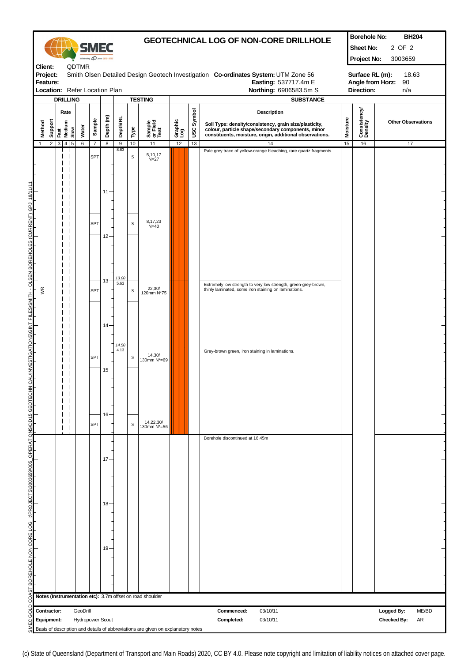|                                                                                                                                                                          |                                                                                                                                                                                                                                                               | <b>GEOTECHNICAL LOG OF NON-CORE DRILLHOLE</b><br>SMEC<br>Celebrating 40 years 1970-2010 |     |                                |                |                |                         |                 | <b>Borehole No:</b><br><b>BH204</b><br>2 OF 2<br>Sheet No:<br>Project No:<br>3003659 |                                                                                  |                |                |                                                                                                                                                                                                             |                 |                         |                                                 |
|--------------------------------------------------------------------------------------------------------------------------------------------------------------------------|---------------------------------------------------------------------------------------------------------------------------------------------------------------------------------------------------------------------------------------------------------------|-----------------------------------------------------------------------------------------|-----|--------------------------------|----------------|----------------|-------------------------|-----------------|--------------------------------------------------------------------------------------|----------------------------------------------------------------------------------|----------------|----------------|-------------------------------------------------------------------------------------------------------------------------------------------------------------------------------------------------------------|-----------------|-------------------------|-------------------------------------------------|
|                                                                                                                                                                          | <b>QDTMR</b><br>Client:<br>Project:<br>Smith Olsen Detailed Design Geotech Investigation Co-ordinates System: UTM Zone 56<br>Feature:<br>Easting: 537717.4m E<br>Location: Refer Location Plan<br>Northing: 6906583.5m S<br><b>DRILLING</b><br><b>TESTING</b> |                                                                                         |     |                                |                |                |                         |                 |                                                                                      | Surface RL (m):<br>18.63<br>Angle from Horz:<br>90<br>Direction:<br>n/a          |                |                |                                                                                                                                                                                                             |                 |                         |                                                 |
|                                                                                                                                                                          | Method                                                                                                                                                                                                                                                        | Support                                                                                 |     | Rate<br>Fast<br>Medium<br>Slow | Water          | Sample         | Depth <sub>(m)</sub>    | <b>Depth/RL</b> | Type                                                                                 | Sample<br>or Field<br>Test                                                       | Graphic<br>Log | Symbol<br>USC. | <b>SUBSTANCE</b><br>Description<br>Soil Type: density/consistency, grain size/plasticity,<br>colour, particle shape/secondary components, minor<br>constituents, moisture, origin, additional observations. | <b>Moisture</b> | Consistency/<br>Density | <b>Other Observations</b>                       |
|                                                                                                                                                                          | $\mathbf{1}$                                                                                                                                                                                                                                                  | $\overline{2}$                                                                          | 3 4 | $\sqrt{5}$                     | $\overline{6}$ | $\overline{7}$ | 8                       | 9<br>8.63       | 10                                                                                   | 11                                                                               | 12             | 13             | 14<br>Pale grey trace of yellow-orange bleaching, rare quartz fragments.                                                                                                                                    | 15              | 16                      | 17                                              |
|                                                                                                                                                                          |                                                                                                                                                                                                                                                               |                                                                                         |     |                                |                | SPT            | 11                      |                 | $\, {\bf S}$                                                                         | 5,10,17<br>$N=27$                                                                |                |                |                                                                                                                                                                                                             |                 |                         |                                                 |
|                                                                                                                                                                          |                                                                                                                                                                                                                                                               |                                                                                         |     |                                |                | SPT            | 12                      |                 | S                                                                                    | 8,17,23<br>$N = 40$                                                              |                |                |                                                                                                                                                                                                             |                 |                         |                                                 |
|                                                                                                                                                                          | χR                                                                                                                                                                                                                                                            |                                                                                         |     |                                |                | SPT            | 13                      | 13.00<br>5.63   | S                                                                                    | 22,30/<br>120mm N*75                                                             |                |                | Extremely low strength to very low strength, green-grey-brown,<br>thinly laminated, some iron staining on laminations.                                                                                      |                 |                         |                                                 |
| SMEC GOLD COAST BOREHOLE NON CORE LOG  I:\PROJECTS\3003659\005_OPERATIO\NS\DD15 GEOTECHN\ICAL\IN\VESTIGATIONS\GINT FILES\SMITH - OLSEN BOREHOLES (CURRENT).GPJ  18/11/11 |                                                                                                                                                                                                                                                               |                                                                                         |     |                                |                | SPT            | 14<br>15                | 14.50<br>4.13   | S                                                                                    | 14,30/<br>130mm N*=69                                                            |                |                | Grey-brown green, iron staining in laminations.                                                                                                                                                             |                 |                         |                                                 |
|                                                                                                                                                                          |                                                                                                                                                                                                                                                               |                                                                                         |     |                                |                | <b>SPT</b>     | 16 <sup>1</sup>         |                 | S                                                                                    | 14,22,30/<br>130mm N*=56                                                         |                |                | Borehole discontinued at 16.45m                                                                                                                                                                             |                 |                         |                                                 |
|                                                                                                                                                                          |                                                                                                                                                                                                                                                               |                                                                                         |     |                                |                |                | 17<br>18                |                 |                                                                                      |                                                                                  |                |                |                                                                                                                                                                                                             |                 |                         |                                                 |
|                                                                                                                                                                          |                                                                                                                                                                                                                                                               |                                                                                         |     |                                |                |                | 19                      |                 |                                                                                      |                                                                                  |                |                |                                                                                                                                                                                                             |                 |                         |                                                 |
|                                                                                                                                                                          |                                                                                                                                                                                                                                                               |                                                                                         |     |                                |                |                |                         |                 |                                                                                      | Notes (Instrumentation etc): 3.7m offset on road shoulder                        |                |                |                                                                                                                                                                                                             |                 |                         |                                                 |
|                                                                                                                                                                          | Contractor:<br>Equipment:                                                                                                                                                                                                                                     |                                                                                         |     |                                | GeoDrill       |                | <b>Hydropower Scout</b> |                 |                                                                                      | Basis of description and details of abbreviations are given on explanatory notes |                |                | 03/10/11<br>Commenced:<br>Completed:<br>03/10/11                                                                                                                                                            |                 |                         | ME/BD<br>Logged By:<br>AR<br><b>Checked By:</b> |

(c) State of Queensland (Department of Transport and Main Roads) 2020, CC BY 4.0. Please note copyright and limitation of liability notices on attached cover page.